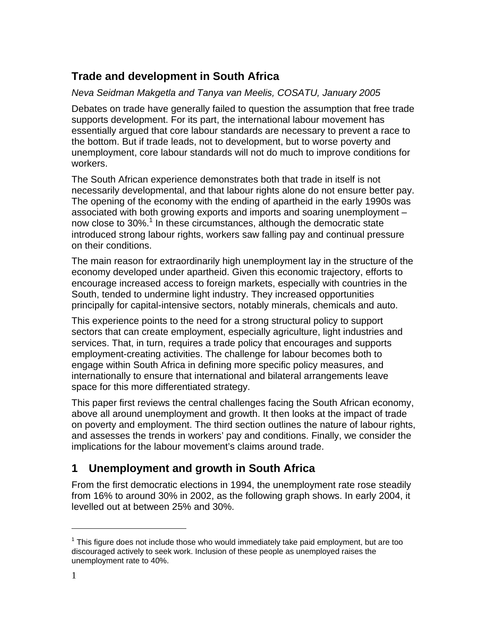# **Trade and development in South Africa**

*Neva Seidman Makgetla and Tanya van Meelis, COSATU, January 2005* 

Debates on trade have generally failed to question the assumption that free trade supports development. For its part, the international labour movement has essentially argued that core labour standards are necessary to prevent a race to the bottom. But if trade leads, not to development, but to worse poverty and unemployment, core labour standards will not do much to improve conditions for workers.

The South African experience demonstrates both that trade in itself is not necessarily developmental, and that labour rights alone do not ensure better pay. The opening of the economy with the ending of apartheid in the early 1990s was associated with both growing exports and imports and soaring unemployment – now close to 30%.<sup>1</sup> In these circumstances, although the democratic state introduced strong labour rights, workers saw falling pay and continual pressure on their conditions.

The main reason for extraordinarily high unemployment lay in the structure of the economy developed under apartheid. Given this economic trajectory, efforts to encourage increased access to foreign markets, especially with countries in the South, tended to undermine light industry. They increased opportunities principally for capital-intensive sectors, notably minerals, chemicals and auto.

This experience points to the need for a strong structural policy to support sectors that can create employment, especially agriculture, light industries and services. That, in turn, requires a trade policy that encourages and supports employment-creating activities. The challenge for labour becomes both to engage within South Africa in defining more specific policy measures, and internationally to ensure that international and bilateral arrangements leave space for this more differentiated strategy.

This paper first reviews the central challenges facing the South African economy, above all around unemployment and growth. It then looks at the impact of trade on poverty and employment. The third section outlines the nature of labour rights, and assesses the trends in workers' pay and conditions. Finally, we consider the implications for the labour movement's claims around trade.

# **1 Unemployment and growth in South Africa**

From the first democratic elections in 1994, the unemployment rate rose steadily from 16% to around 30% in 2002, as the following graph shows. In early 2004, it levelled out at between 25% and 30%.

l

 $1$  This figure does not include those who would immediately take paid employment, but are too discouraged actively to seek work. Inclusion of these people as unemployed raises the unemployment rate to 40%.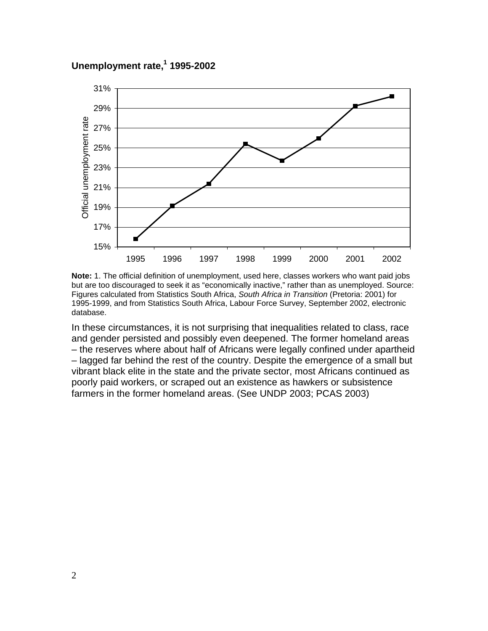### **Unemployment rate,1 1995-2002**



**Note:** 1. The official definition of unemployment, used here, classes workers who want paid jobs but are too discouraged to seek it as "economically inactive," rather than as unemployed. Source: Figures calculated from Statistics South Africa, *South Africa in Transition* (Pretoria: 2001) for 1995-1999, and from Statistics South Africa, Labour Force Survey, September 2002, electronic database.

In these circumstances, it is not surprising that inequalities related to class, race and gender persisted and possibly even deepened. The former homeland areas – the reserves where about half of Africans were legally confined under apartheid – lagged far behind the rest of the country. Despite the emergence of a small but vibrant black elite in the state and the private sector, most Africans continued as poorly paid workers, or scraped out an existence as hawkers or subsistence farmers in the former homeland areas. (See UNDP 2003; PCAS 2003)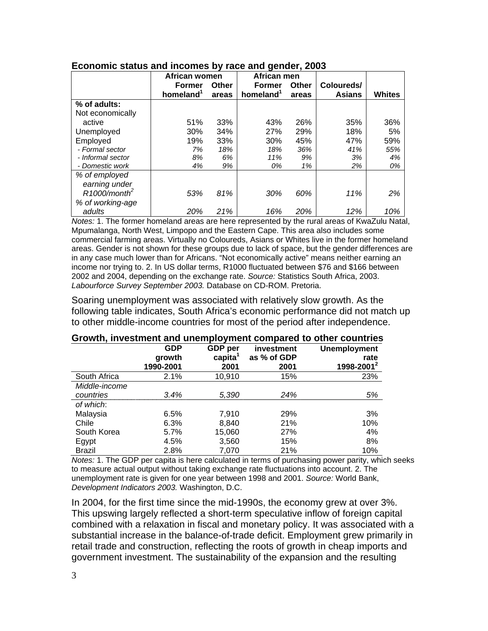|                             |                       | African men<br>African women |                       |       |               |               |
|-----------------------------|-----------------------|------------------------------|-----------------------|-------|---------------|---------------|
|                             | <b>Former</b>         | Other                        | <b>Former</b>         | Other | Coloureds/    |               |
|                             | homeland <sup>1</sup> | areas                        | homeland <sup>1</sup> | areas | <b>Asians</b> | <b>Whites</b> |
| % of adults:                |                       |                              |                       |       |               |               |
| Not economically            |                       |                              |                       |       |               |               |
| active                      | 51%                   | 33%                          | 43%                   | 26%   | 35%           | 36%           |
| Unemployed                  | 30%                   | 34%                          | 27%                   | 29%   | 18%           | 5%            |
| Employed                    | 19%                   | 33%                          | 30%                   | 45%   | 47%           | 59%           |
| - Formal sector             | 7%                    | 18%                          | 18%                   | 36%   | 41%           | 55%           |
| - Informal sector           | 8%                    | 6%                           | 11%                   | 9%    | 3%            | 4%            |
| - Domestic work             | 4%                    | 9%                           | 0%                    | 1%    | 2%            | 0%            |
| % of employed               |                       |                              |                       |       |               |               |
| earning under               |                       |                              |                       |       |               |               |
| $R1000/m$ onth <sup>2</sup> | 53%                   | 81%                          | 30%                   | 60%   | 11%           | 2%            |
| % of working-age            |                       |                              |                       |       |               |               |
| adults                      | 20%                   | 21%                          | 16%                   | 20%   | 12%           | 10%           |

#### **Economic status and incomes by race and gender, 2003**

*Notes:* 1. The former homeland areas are here represented by the rural areas of KwaZulu Natal, Mpumalanga, North West, Limpopo and the Eastern Cape. This area also includes some commercial farming areas. Virtually no Coloureds, Asians or Whites live in the former homeland areas. Gender is not shown for these groups due to lack of space, but the gender differences are in any case much lower than for Africans. "Not economically active" means neither earning an income nor trying to. 2. In US dollar terms, R1000 fluctuated between \$76 and \$166 between 2002 and 2004, depending on the exchange rate. *Source:* Statistics South Africa, 2003. *Labourforce Survey September 2003.* Database on CD-ROM. Pretoria.

Soaring unemployment was associated with relatively slow growth. As the following table indicates, South Africa's economic performance did not match up to other middle-income countries for most of the period after independence.

|               | <b>GDP</b><br>growth<br>1990-2001 | GDP per<br>capita <sup>1</sup><br>2001 | investment<br>as % of GDP<br>2001 | <b>Unemployment</b><br>rate<br>1998-2001 <sup>2</sup> |
|---------------|-----------------------------------|----------------------------------------|-----------------------------------|-------------------------------------------------------|
| South Africa  | 2.1%                              | 10,910                                 | 15%                               | 23%                                                   |
| Middle-income |                                   |                                        |                                   |                                                       |
| countries     | 3.4%                              | 5,390                                  | 24%                               | 5%                                                    |
| of which:     |                                   |                                        |                                   |                                                       |
| Malaysia      | 6.5%                              | 7,910                                  | 29%                               | 3%                                                    |
| Chile         | 6.3%                              | 8,840                                  | 21%                               | 10%                                                   |
| South Korea   | 5.7%                              | 15,060                                 | 27%                               | 4%                                                    |
| Egypt         | 4.5%                              | 3,560                                  | 15%                               | 8%                                                    |
| <b>Brazil</b> | 2.8%                              | 7.070                                  | 21%                               | 10%                                                   |

### **Growth, investment and unemployment compared to other countries**

*Notes:* 1. The GDP per capita is here calculated in terms of purchasing power parity, which seeks to measure actual output without taking exchange rate fluctuations into account. 2. The unemployment rate is given for one year between 1998 and 2001. *Source:* World Bank, *Development Indicators 2003.* Washington, D.C.

In 2004, for the first time since the mid-1990s, the economy grew at over 3%. This upswing largely reflected a short-term speculative inflow of foreign capital combined with a relaxation in fiscal and monetary policy. It was associated with a substantial increase in the balance-of-trade deficit. Employment grew primarily in retail trade and construction, reflecting the roots of growth in cheap imports and government investment. The sustainability of the expansion and the resulting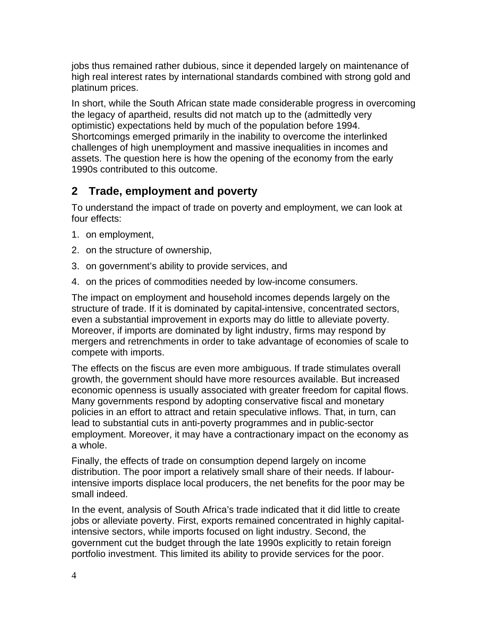jobs thus remained rather dubious, since it depended largely on maintenance of high real interest rates by international standards combined with strong gold and platinum prices.

In short, while the South African state made considerable progress in overcoming the legacy of apartheid, results did not match up to the (admittedly very optimistic) expectations held by much of the population before 1994. Shortcomings emerged primarily in the inability to overcome the interlinked challenges of high unemployment and massive inequalities in incomes and assets. The question here is how the opening of the economy from the early 1990s contributed to this outcome.

# **2 Trade, employment and poverty**

To understand the impact of trade on poverty and employment, we can look at four effects:

- 1. on employment,
- 2. on the structure of ownership,
- 3. on government's ability to provide services, and
- 4. on the prices of commodities needed by low-income consumers.

The impact on employment and household incomes depends largely on the structure of trade. If it is dominated by capital-intensive, concentrated sectors, even a substantial improvement in exports may do little to alleviate poverty. Moreover, if imports are dominated by light industry, firms may respond by mergers and retrenchments in order to take advantage of economies of scale to compete with imports.

The effects on the fiscus are even more ambiguous. If trade stimulates overall growth, the government should have more resources available. But increased economic openness is usually associated with greater freedom for capital flows. Many governments respond by adopting conservative fiscal and monetary policies in an effort to attract and retain speculative inflows. That, in turn, can lead to substantial cuts in anti-poverty programmes and in public-sector employment. Moreover, it may have a contractionary impact on the economy as a whole.

Finally, the effects of trade on consumption depend largely on income distribution. The poor import a relatively small share of their needs. If labourintensive imports displace local producers, the net benefits for the poor may be small indeed.

In the event, analysis of South Africa's trade indicated that it did little to create jobs or alleviate poverty. First, exports remained concentrated in highly capitalintensive sectors, while imports focused on light industry. Second, the government cut the budget through the late 1990s explicitly to retain foreign portfolio investment. This limited its ability to provide services for the poor.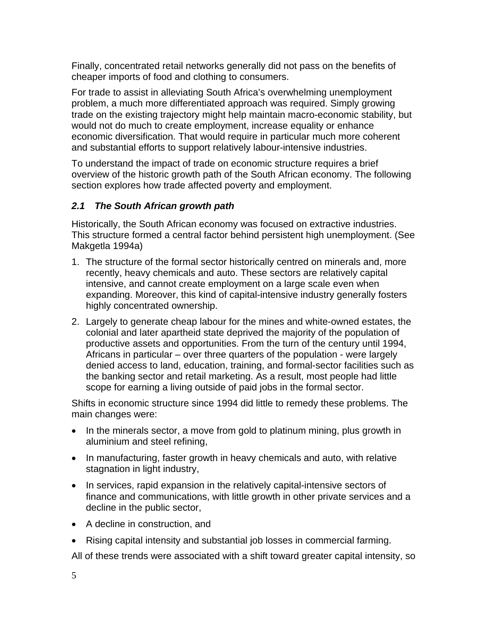Finally, concentrated retail networks generally did not pass on the benefits of cheaper imports of food and clothing to consumers.

For trade to assist in alleviating South Africa's overwhelming unemployment problem, a much more differentiated approach was required. Simply growing trade on the existing trajectory might help maintain macro-economic stability, but would not do much to create employment, increase equality or enhance economic diversification. That would require in particular much more coherent and substantial efforts to support relatively labour-intensive industries.

To understand the impact of trade on economic structure requires a brief overview of the historic growth path of the South African economy. The following section explores how trade affected poverty and employment.

## *2.1 The South African growth path*

Historically, the South African economy was focused on extractive industries. This structure formed a central factor behind persistent high unemployment. (See Makgetla 1994a)

- 1. The structure of the formal sector historically centred on minerals and, more recently, heavy chemicals and auto. These sectors are relatively capital intensive, and cannot create employment on a large scale even when expanding. Moreover, this kind of capital-intensive industry generally fosters highly concentrated ownership.
- 2. Largely to generate cheap labour for the mines and white-owned estates, the colonial and later apartheid state deprived the majority of the population of productive assets and opportunities. From the turn of the century until 1994, Africans in particular – over three quarters of the population - were largely denied access to land, education, training, and formal-sector facilities such as the banking sector and retail marketing. As a result, most people had little scope for earning a living outside of paid jobs in the formal sector.

Shifts in economic structure since 1994 did little to remedy these problems. The main changes were:

- In the minerals sector, a move from gold to platinum mining, plus growth in aluminium and steel refining,
- In manufacturing, faster growth in heavy chemicals and auto, with relative stagnation in light industry,
- In services, rapid expansion in the relatively capital-intensive sectors of finance and communications, with little growth in other private services and a decline in the public sector,
- A decline in construction, and
- Rising capital intensity and substantial job losses in commercial farming.

All of these trends were associated with a shift toward greater capital intensity, so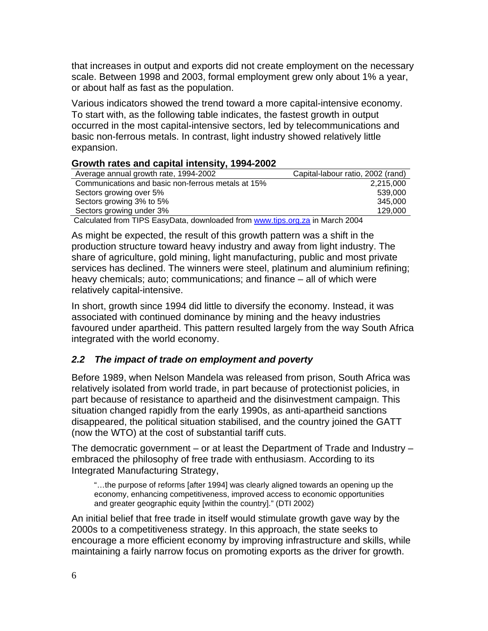that increases in output and exports did not create employment on the necessary scale. Between 1998 and 2003, formal employment grew only about 1% a year, or about half as fast as the population.

Various indicators showed the trend toward a more capital-intensive economy. To start with, as the following table indicates, the fastest growth in output occurred in the most capital-intensive sectors, led by telecommunications and basic non-ferrous metals. In contrast, light industry showed relatively little expansion.

#### **Growth rates and capital intensity, 1994-2002**

| Average annual growth rate, 1994-2002                                        | Capital-labour ratio, 2002 (rand) |
|------------------------------------------------------------------------------|-----------------------------------|
| Communications and basic non-ferrous metals at 15%                           | 2,215,000                         |
| Sectors growing over 5%                                                      | 539,000                           |
| Sectors growing 3% to 5%                                                     | 345.000                           |
| Sectors growing under 3%                                                     | 129,000                           |
| Calculated from TIDC Foo: Data downloaded from www.tipe.org =0.in March 2004 |                                   |

Calculated from TIPS EasyData, downloaded from www.tips.org.za in March 2004

As might be expected, the result of this growth pattern was a shift in the production structure toward heavy industry and away from light industry. The share of agriculture, gold mining, light manufacturing, public and most private services has declined. The winners were steel, platinum and aluminium refining; heavy chemicals; auto; communications; and finance – all of which were relatively capital-intensive.

In short, growth since 1994 did little to diversify the economy. Instead, it was associated with continued dominance by mining and the heavy industries favoured under apartheid. This pattern resulted largely from the way South Africa integrated with the world economy.

### *2.2 The impact of trade on employment and poverty*

Before 1989, when Nelson Mandela was released from prison, South Africa was relatively isolated from world trade, in part because of protectionist policies, in part because of resistance to apartheid and the disinvestment campaign. This situation changed rapidly from the early 1990s, as anti-apartheid sanctions disappeared, the political situation stabilised, and the country joined the GATT (now the WTO) at the cost of substantial tariff cuts.

The democratic government – or at least the Department of Trade and Industry – embraced the philosophy of free trade with enthusiasm. According to its Integrated Manufacturing Strategy,

"…the purpose of reforms [after 1994] was clearly aligned towards an opening up the economy, enhancing competitiveness, improved access to economic opportunities and greater geographic equity [within the country]." (DTI 2002)

An initial belief that free trade in itself would stimulate growth gave way by the 2000s to a competitiveness strategy. In this approach, the state seeks to encourage a more efficient economy by improving infrastructure and skills, while maintaining a fairly narrow focus on promoting exports as the driver for growth.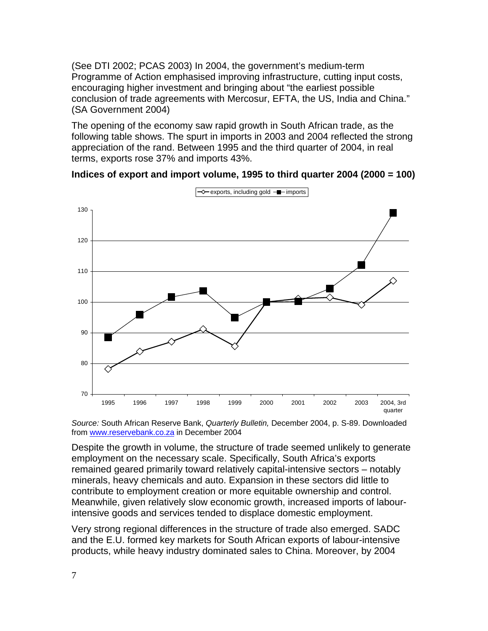(See DTI 2002; PCAS 2003) In 2004, the government's medium-term Programme of Action emphasised improving infrastructure, cutting input costs, encouraging higher investment and bringing about "the earliest possible conclusion of trade agreements with Mercosur, EFTA, the US, India and China." (SA Government 2004)

The opening of the economy saw rapid growth in South African trade, as the following table shows. The spurt in imports in 2003 and 2004 reflected the strong appreciation of the rand. Between 1995 and the third quarter of 2004, in real terms, exports rose 37% and imports 43%.

#### **Indices of export and import volume, 1995 to third quarter 2004 (2000 = 100)**



*Source:* South African Reserve Bank, *Quarterly Bulletin,* December 2004, p. S-89. Downloaded from www.reservebank.co.za in December 2004

Despite the growth in volume, the structure of trade seemed unlikely to generate employment on the necessary scale. Specifically, South Africa's exports remained geared primarily toward relatively capital-intensive sectors – notably minerals, heavy chemicals and auto. Expansion in these sectors did little to contribute to employment creation or more equitable ownership and control. Meanwhile, given relatively slow economic growth, increased imports of labourintensive goods and services tended to displace domestic employment.

Very strong regional differences in the structure of trade also emerged. SADC and the E.U. formed key markets for South African exports of labour-intensive products, while heavy industry dominated sales to China. Moreover, by 2004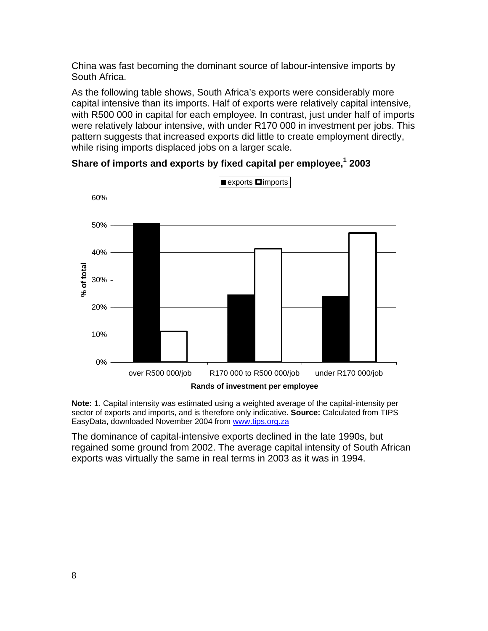China was fast becoming the dominant source of labour-intensive imports by South Africa.

As the following table shows, South Africa's exports were considerably more capital intensive than its imports. Half of exports were relatively capital intensive, with R500 000 in capital for each employee. In contrast, just under half of imports were relatively labour intensive, with under R170 000 in investment per jobs. This pattern suggests that increased exports did little to create employment directly, while rising imports displaced jobs on a larger scale.

 $\blacksquare$  exports  $\blacksquare$  imports 60% 50% 40% % of total **% of total** 30% 20% 10% 0% over R500 000/job R170 000 to R500 000/job under R170 000/job **Rands of investment per employee**

Share of imports and exports by fixed capital per employee,<sup>1</sup> 2003

**Note:** 1. Capital intensity was estimated using a weighted average of the capital-intensity per sector of exports and imports, and is therefore only indicative. **Source:** Calculated from TIPS EasyData, downloaded November 2004 from www.tips.org.za

The dominance of capital-intensive exports declined in the late 1990s, but regained some ground from 2002. The average capital intensity of South African exports was virtually the same in real terms in 2003 as it was in 1994.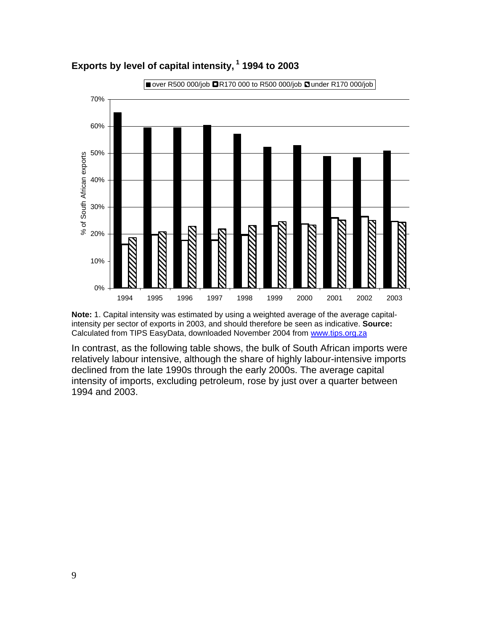

**Exports by level of capital intensity, 1 1994 to 2003** 

**Note:** 1. Capital intensity was estimated by using a weighted average of the average capitalintensity per sector of exports in 2003, and should therefore be seen as indicative. **Source:**  Calculated from TIPS EasyData, downloaded November 2004 from www.tips.org.za

In contrast, as the following table shows, the bulk of South African imports were relatively labour intensive, although the share of highly labour-intensive imports declined from the late 1990s through the early 2000s. The average capital intensity of imports, excluding petroleum, rose by just over a quarter between 1994 and 2003.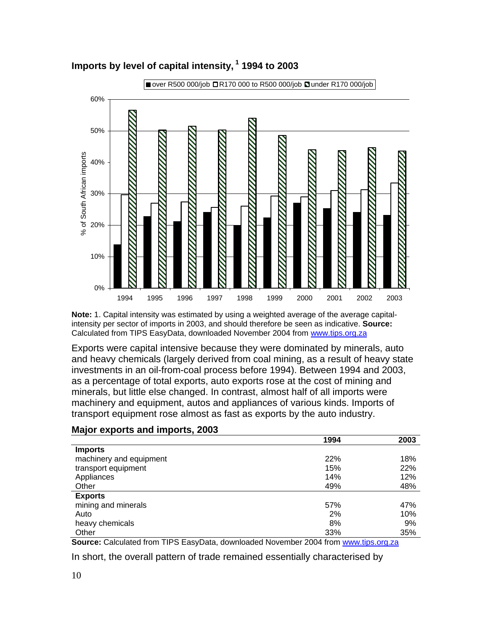

# **Imports by level of capital intensity, 1 1994 to 2003**

**Note:** 1. Capital intensity was estimated by using a weighted average of the average capitalintensity per sector of imports in 2003, and should therefore be seen as indicative. **Source:**  Calculated from TIPS EasyData, downloaded November 2004 from www.tips.org.za

Exports were capital intensive because they were dominated by minerals, auto and heavy chemicals (largely derived from coal mining, as a result of heavy state investments in an oil-from-coal process before 1994). Between 1994 and 2003, as a percentage of total exports, auto exports rose at the cost of mining and minerals, but little else changed. In contrast, almost half of all imports were machinery and equipment, autos and appliances of various kinds. Imports of transport equipment rose almost as fast as exports by the auto industry.

|                         | 1994 | 2003 |
|-------------------------|------|------|
| <b>Imports</b>          |      |      |
| machinery and equipment | 22%  | 18%  |
| transport equipment     | 15%  | 22%  |
| Appliances              | 14%  | 12%  |
| Other                   | 49%  | 48%  |
| <b>Exports</b>          |      |      |
| mining and minerals     | 57%  | 47%  |
| Auto                    | 2%   | 10%  |
| heavy chemicals         | 8%   | 9%   |
| Other                   | 33%  | 35%  |

#### **Major exports and imports, 2003**

**Source:** Calculated from TIPS EasyData, downloaded November 2004 from www.tips.org.za

In short, the overall pattern of trade remained essentially characterised by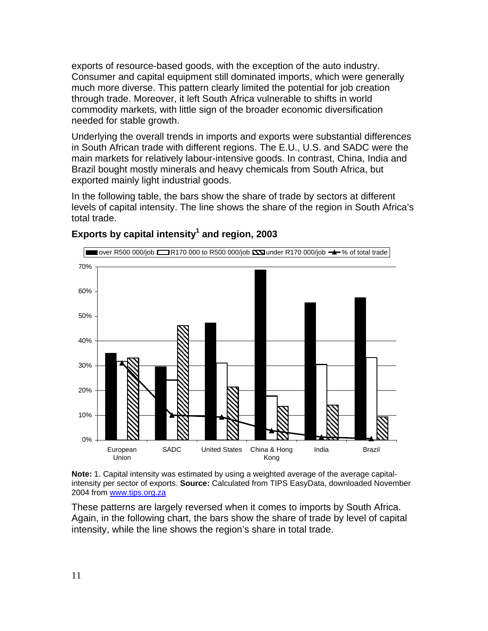exports of resource-based goods, with the exception of the auto industry. Consumer and capital equipment still dominated imports, which were generally much more diverse. This pattern clearly limited the potential for job creation through trade. Moreover, it left South Africa vulnerable to shifts in world commodity markets, with little sign of the broader economic diversification needed for stable growth.

Underlying the overall trends in imports and exports were substantial differences in South African trade with different regions. The E.U., U.S. and SADC were the main markets for relatively labour-intensive goods. In contrast, China, India and Brazil bought mostly minerals and heavy chemicals from South Africa, but exported mainly light industrial goods.

In the following table, the bars show the share of trade by sectors at different levels of capital intensity. The line shows the share of the region in South Africa's total trade.



## Exports by capital intensity<sup>1</sup> and region, 2003

**Note:** 1. Capital intensity was estimated by using a weighted average of the average capitalintensity per sector of exports. **Source:** Calculated from TIPS EasyData, downloaded November 2004 from www.tips.org.za

These patterns are largely reversed when it comes to imports by South Africa. Again, in the following chart, the bars show the share of trade by level of capital intensity, while the line shows the region's share in total trade.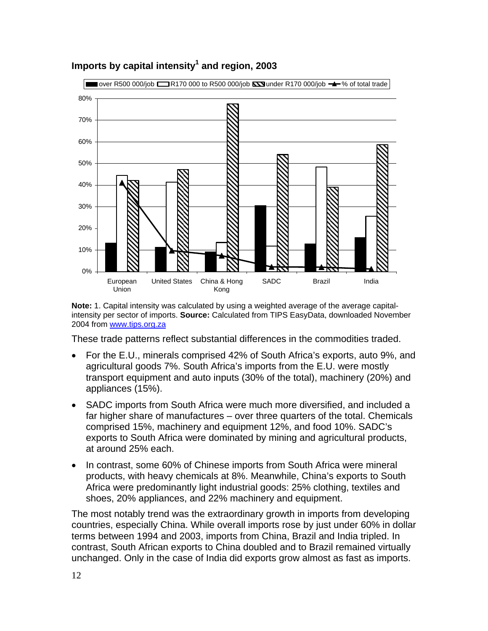

# Imports by capital intensity<sup>1</sup> and region, 2003

**Note:** 1. Capital intensity was calculated by using a weighted average of the average capitalintensity per sector of imports. **Source:** Calculated from TIPS EasyData, downloaded November 2004 from www.tips.org.za

These trade patterns reflect substantial differences in the commodities traded.

- For the E.U., minerals comprised 42% of South Africa's exports, auto 9%, and agricultural goods 7%. South Africa's imports from the E.U. were mostly transport equipment and auto inputs (30% of the total), machinery (20%) and appliances (15%).
- SADC imports from South Africa were much more diversified, and included a far higher share of manufactures – over three quarters of the total. Chemicals comprised 15%, machinery and equipment 12%, and food 10%. SADC's exports to South Africa were dominated by mining and agricultural products, at around 25% each.
- In contrast, some 60% of Chinese imports from South Africa were mineral products, with heavy chemicals at 8%. Meanwhile, China's exports to South Africa were predominantly light industrial goods: 25% clothing, textiles and shoes, 20% appliances, and 22% machinery and equipment.

The most notably trend was the extraordinary growth in imports from developing countries, especially China. While overall imports rose by just under 60% in dollar terms between 1994 and 2003, imports from China, Brazil and India tripled. In contrast, South African exports to China doubled and to Brazil remained virtually unchanged. Only in the case of India did exports grow almost as fast as imports.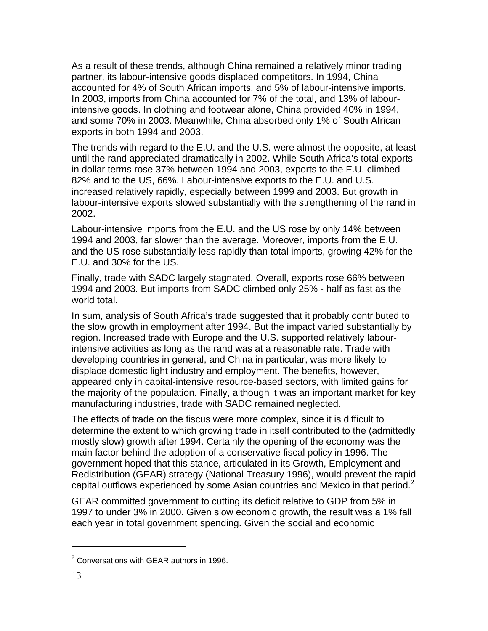As a result of these trends, although China remained a relatively minor trading partner, its labour-intensive goods displaced competitors. In 1994, China accounted for 4% of South African imports, and 5% of labour-intensive imports. In 2003, imports from China accounted for 7% of the total, and 13% of labourintensive goods. In clothing and footwear alone, China provided 40% in 1994, and some 70% in 2003. Meanwhile, China absorbed only 1% of South African exports in both 1994 and 2003.

The trends with regard to the E.U. and the U.S. were almost the opposite, at least until the rand appreciated dramatically in 2002. While South Africa's total exports in dollar terms rose 37% between 1994 and 2003, exports to the E.U. climbed 82% and to the US, 66%. Labour-intensive exports to the E.U. and U.S. increased relatively rapidly, especially between 1999 and 2003. But growth in labour-intensive exports slowed substantially with the strengthening of the rand in 2002.

Labour-intensive imports from the E.U. and the US rose by only 14% between 1994 and 2003, far slower than the average. Moreover, imports from the E.U. and the US rose substantially less rapidly than total imports, growing 42% for the E.U. and 30% for the US.

Finally, trade with SADC largely stagnated. Overall, exports rose 66% between 1994 and 2003. But imports from SADC climbed only 25% - half as fast as the world total.

In sum, analysis of South Africa's trade suggested that it probably contributed to the slow growth in employment after 1994. But the impact varied substantially by region. Increased trade with Europe and the U.S. supported relatively labourintensive activities as long as the rand was at a reasonable rate. Trade with developing countries in general, and China in particular, was more likely to displace domestic light industry and employment. The benefits, however, appeared only in capital-intensive resource-based sectors, with limited gains for the majority of the population. Finally, although it was an important market for key manufacturing industries, trade with SADC remained neglected.

The effects of trade on the fiscus were more complex, since it is difficult to determine the extent to which growing trade in itself contributed to the (admittedly mostly slow) growth after 1994. Certainly the opening of the economy was the main factor behind the adoption of a conservative fiscal policy in 1996. The government hoped that this stance, articulated in its Growth, Employment and Redistribution (GEAR) strategy (National Treasury 1996), would prevent the rapid capital outflows experienced by some Asian countries and Mexico in that period. $2$ 

GEAR committed government to cutting its deficit relative to GDP from 5% in 1997 to under 3% in 2000. Given slow economic growth, the result was a 1% fall each year in total government spending. Given the social and economic

l

<sup>&</sup>lt;sup>2</sup> Conversations with GEAR authors in 1996.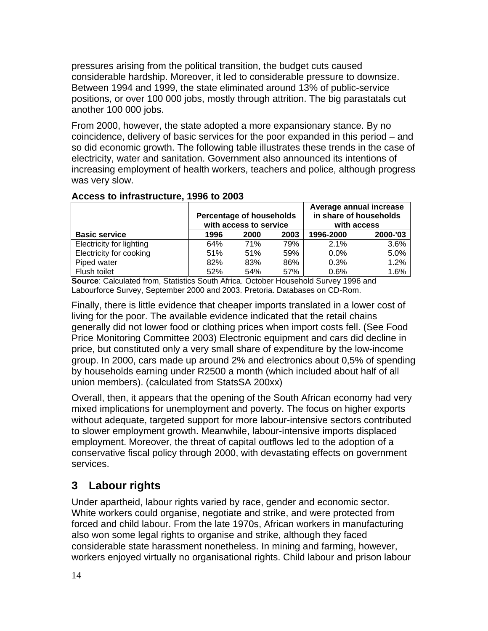pressures arising from the political transition, the budget cuts caused considerable hardship. Moreover, it led to considerable pressure to downsize. Between 1994 and 1999, the state eliminated around 13% of public-service positions, or over 100 000 jobs, mostly through attrition. The big parastatals cut another 100 000 jobs.

From 2000, however, the state adopted a more expansionary stance. By no coincidence, delivery of basic services for the poor expanded in this period – and so did economic growth. The following table illustrates these trends in the case of electricity, water and sanitation. Government also announced its intentions of increasing employment of health workers, teachers and police, although progress was very slow.

|                          | <b>Percentage of households</b><br>with access to service |      |      | Average annual increase<br>in share of households<br>with access |          |
|--------------------------|-----------------------------------------------------------|------|------|------------------------------------------------------------------|----------|
| <b>Basic service</b>     | 1996                                                      | 2000 | 2003 | 1996-2000                                                        | 2000-'03 |
| Electricity for lighting | 64%                                                       | 71%  | 79%  | 2.1%                                                             | 3.6%     |
| Electricity for cooking  | 51%                                                       | 51%  | 59%  | $0.0\%$                                                          | 5.0%     |
| Piped water              | 82%                                                       | 83%  | 86%  | 0.3%                                                             | 1.2%     |
| Flush toilet             | 52%                                                       | 54%  | 57%  | 0.6%                                                             | 1.6%     |

### **Access to infrastructure, 1996 to 2003**

**Source**: Calculated from, Statistics South Africa. October Household Survey 1996 and Labourforce Survey, September 2000 and 2003. Pretoria. Databases on CD-Rom.

Finally, there is little evidence that cheaper imports translated in a lower cost of living for the poor. The available evidence indicated that the retail chains generally did not lower food or clothing prices when import costs fell. (See Food Price Monitoring Committee 2003) Electronic equipment and cars did decline in price, but constituted only a very small share of expenditure by the low-income group. In 2000, cars made up around 2% and electronics about 0,5% of spending by households earning under R2500 a month (which included about half of all union members). (calculated from StatsSA 200xx)

Overall, then, it appears that the opening of the South African economy had very mixed implications for unemployment and poverty. The focus on higher exports without adequate, targeted support for more labour-intensive sectors contributed to slower employment growth. Meanwhile, labour-intensive imports displaced employment. Moreover, the threat of capital outflows led to the adoption of a conservative fiscal policy through 2000, with devastating effects on government services.

# **3 Labour rights**

Under apartheid, labour rights varied by race, gender and economic sector. White workers could organise, negotiate and strike, and were protected from forced and child labour. From the late 1970s, African workers in manufacturing also won some legal rights to organise and strike, although they faced considerable state harassment nonetheless. In mining and farming, however, workers enjoyed virtually no organisational rights. Child labour and prison labour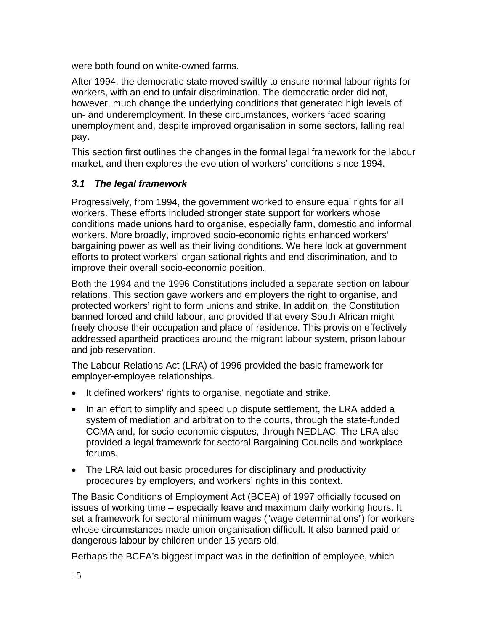were both found on white-owned farms.

After 1994, the democratic state moved swiftly to ensure normal labour rights for workers, with an end to unfair discrimination. The democratic order did not, however, much change the underlying conditions that generated high levels of un- and underemployment. In these circumstances, workers faced soaring unemployment and, despite improved organisation in some sectors, falling real pay.

This section first outlines the changes in the formal legal framework for the labour market, and then explores the evolution of workers' conditions since 1994.

# *3.1 The legal framework*

Progressively, from 1994, the government worked to ensure equal rights for all workers. These efforts included stronger state support for workers whose conditions made unions hard to organise, especially farm, domestic and informal workers. More broadly, improved socio-economic rights enhanced workers' bargaining power as well as their living conditions. We here look at government efforts to protect workers' organisational rights and end discrimination, and to improve their overall socio-economic position.

Both the 1994 and the 1996 Constitutions included a separate section on labour relations. This section gave workers and employers the right to organise, and protected workers' right to form unions and strike. In addition, the Constitution banned forced and child labour, and provided that every South African might freely choose their occupation and place of residence. This provision effectively addressed apartheid practices around the migrant labour system, prison labour and job reservation.

The Labour Relations Act (LRA) of 1996 provided the basic framework for employer-employee relationships.

- It defined workers' rights to organise, negotiate and strike.
- In an effort to simplify and speed up dispute settlement, the LRA added a system of mediation and arbitration to the courts, through the state-funded CCMA and, for socio-economic disputes, through NEDLAC. The LRA also provided a legal framework for sectoral Bargaining Councils and workplace forums.
- The LRA laid out basic procedures for disciplinary and productivity procedures by employers, and workers' rights in this context.

The Basic Conditions of Employment Act (BCEA) of 1997 officially focused on issues of working time – especially leave and maximum daily working hours. It set a framework for sectoral minimum wages ("wage determinations") for workers whose circumstances made union organisation difficult. It also banned paid or dangerous labour by children under 15 years old.

Perhaps the BCEA's biggest impact was in the definition of employee, which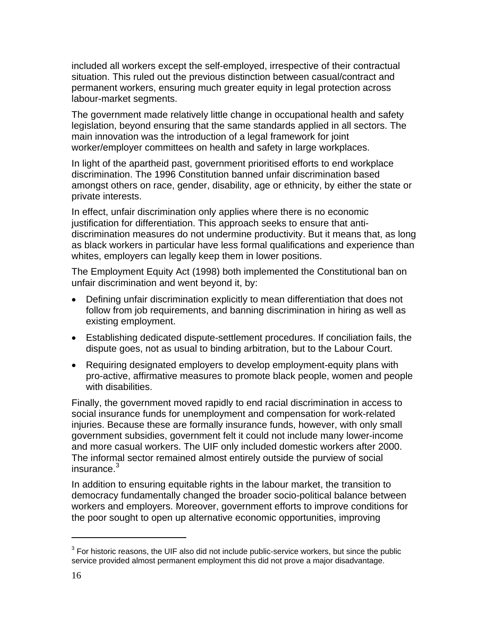included all workers except the self-employed, irrespective of their contractual situation. This ruled out the previous distinction between casual/contract and permanent workers, ensuring much greater equity in legal protection across labour-market segments.

The government made relatively little change in occupational health and safety legislation, beyond ensuring that the same standards applied in all sectors. The main innovation was the introduction of a legal framework for joint worker/employer committees on health and safety in large workplaces.

In light of the apartheid past, government prioritised efforts to end workplace discrimination. The 1996 Constitution banned unfair discrimination based amongst others on race, gender, disability, age or ethnicity, by either the state or private interests.

In effect, unfair discrimination only applies where there is no economic justification for differentiation. This approach seeks to ensure that antidiscrimination measures do not undermine productivity. But it means that, as long as black workers in particular have less formal qualifications and experience than whites, employers can legally keep them in lower positions.

The Employment Equity Act (1998) both implemented the Constitutional ban on unfair discrimination and went beyond it, by:

- Defining unfair discrimination explicitly to mean differentiation that does not follow from job requirements, and banning discrimination in hiring as well as existing employment.
- Establishing dedicated dispute-settlement procedures. If conciliation fails, the dispute goes, not as usual to binding arbitration, but to the Labour Court.
- Requiring designated employers to develop employment-equity plans with pro-active, affirmative measures to promote black people, women and people with disabilities.

Finally, the government moved rapidly to end racial discrimination in access to social insurance funds for unemployment and compensation for work-related injuries. Because these are formally insurance funds, however, with only small government subsidies, government felt it could not include many lower-income and more casual workers. The UIF only included domestic workers after 2000. The informal sector remained almost entirely outside the purview of social insurance. $^3$ 

In addition to ensuring equitable rights in the labour market, the transition to democracy fundamentally changed the broader socio-political balance between workers and employers. Moreover, government efforts to improve conditions for the poor sought to open up alternative economic opportunities, improving

l

 $3$  For historic reasons, the UIF also did not include public-service workers, but since the public service provided almost permanent employment this did not prove a major disadvantage.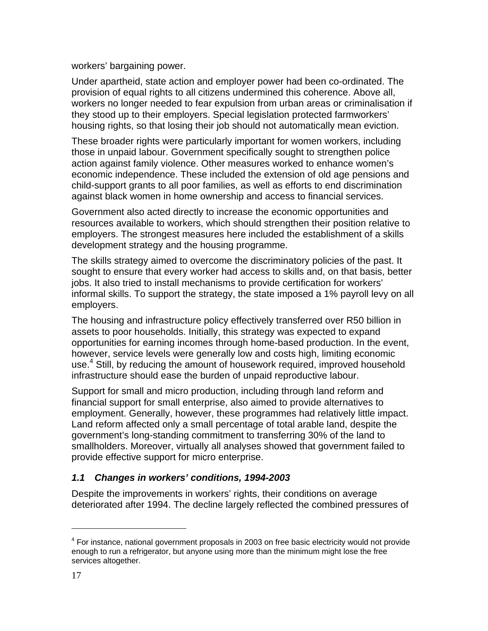workers' bargaining power.

Under apartheid, state action and employer power had been co-ordinated. The provision of equal rights to all citizens undermined this coherence. Above all, workers no longer needed to fear expulsion from urban areas or criminalisation if they stood up to their employers. Special legislation protected farmworkers' housing rights, so that losing their job should not automatically mean eviction.

These broader rights were particularly important for women workers, including those in unpaid labour. Government specifically sought to strengthen police action against family violence. Other measures worked to enhance women's economic independence. These included the extension of old age pensions and child-support grants to all poor families, as well as efforts to end discrimination against black women in home ownership and access to financial services.

Government also acted directly to increase the economic opportunities and resources available to workers, which should strengthen their position relative to employers. The strongest measures here included the establishment of a skills development strategy and the housing programme.

The skills strategy aimed to overcome the discriminatory policies of the past. It sought to ensure that every worker had access to skills and, on that basis, better jobs. It also tried to install mechanisms to provide certification for workers' informal skills. To support the strategy, the state imposed a 1% payroll levy on all employers.

The housing and infrastructure policy effectively transferred over R50 billion in assets to poor households. Initially, this strategy was expected to expand opportunities for earning incomes through home-based production. In the event, however, service levels were generally low and costs high, limiting economic use.<sup>4</sup> Still, by reducing the amount of housework required, improved household infrastructure should ease the burden of unpaid reproductive labour.

Support for small and micro production, including through land reform and financial support for small enterprise, also aimed to provide alternatives to employment. Generally, however, these programmes had relatively little impact. Land reform affected only a small percentage of total arable land, despite the government's long-standing commitment to transferring 30% of the land to smallholders. Moreover, virtually all analyses showed that government failed to provide effective support for micro enterprise.

## *1.1 Changes in workers' conditions, 1994-2003*

Despite the improvements in workers' rights, their conditions on average deteriorated after 1994. The decline largely reflected the combined pressures of

l

<sup>&</sup>lt;sup>4</sup> For instance, national government proposals in 2003 on free basic electricity would not provide enough to run a refrigerator, but anyone using more than the minimum might lose the free services altogether.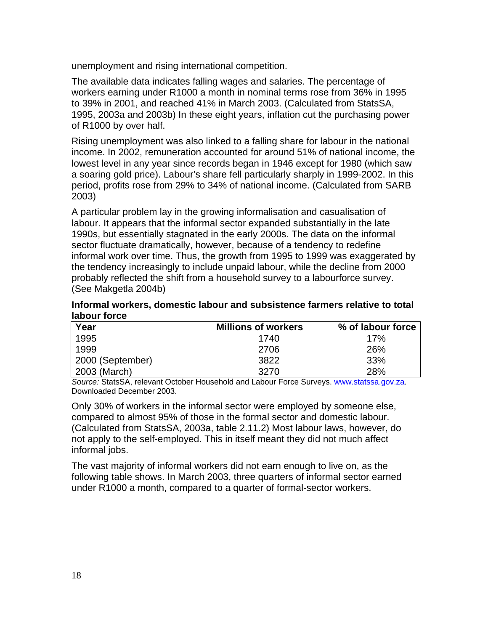unemployment and rising international competition.

The available data indicates falling wages and salaries. The percentage of workers earning under R1000 a month in nominal terms rose from 36% in 1995 to 39% in 2001, and reached 41% in March 2003. (Calculated from StatsSA, 1995, 2003a and 2003b) In these eight years, inflation cut the purchasing power of R1000 by over half.

Rising unemployment was also linked to a falling share for labour in the national income. In 2002, remuneration accounted for around 51% of national income, the lowest level in any year since records began in 1946 except for 1980 (which saw a soaring gold price). Labour's share fell particularly sharply in 1999-2002. In this period, profits rose from 29% to 34% of national income. (Calculated from SARB 2003)

A particular problem lay in the growing informalisation and casualisation of labour. It appears that the informal sector expanded substantially in the late 1990s, but essentially stagnated in the early 2000s. The data on the informal sector fluctuate dramatically, however, because of a tendency to redefine informal work over time. Thus, the growth from 1995 to 1999 was exaggerated by the tendency increasingly to include unpaid labour, while the decline from 2000 probably reflected the shift from a household survey to a labourforce survey. (See Makgetla 2004b)

**Informal workers, domestic labour and subsistence farmers relative to total labour force** 

| Year             | <b>Millions of workers</b> | % of labour force |
|------------------|----------------------------|-------------------|
| 1995             | 1740                       | 17%               |
| 1999             | 2706                       | 26%               |
| 2000 (September) | 3822                       | 33%               |
| 2003 (March)     | 3270                       | 28%               |

*Source:* StatsSA, relevant October Household and Labour Force Surveys. www.statssa.gov.za. Downloaded December 2003.

Only 30% of workers in the informal sector were employed by someone else, compared to almost 95% of those in the formal sector and domestic labour. (Calculated from StatsSA, 2003a, table 2.11.2) Most labour laws, however, do not apply to the self-employed. This in itself meant they did not much affect informal jobs.

The vast majority of informal workers did not earn enough to live on, as the following table shows. In March 2003, three quarters of informal sector earned under R1000 a month, compared to a quarter of formal-sector workers.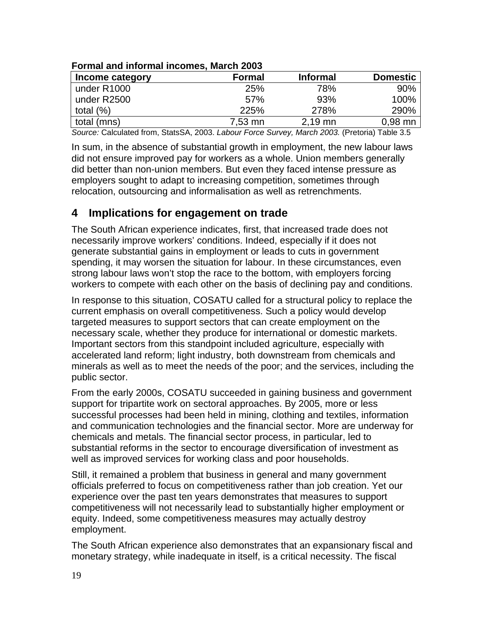| <u>FUITING AND INTERNATION INCOMES, MAIL LOUS</u> |               |                 |                 |  |  |
|---------------------------------------------------|---------------|-----------------|-----------------|--|--|
| Income category                                   | <b>Formal</b> | <b>Informal</b> | <b>Domestic</b> |  |  |
| under R1000                                       | 25%           | 78%             | 90%             |  |  |
| under R2500                                       | 57%           | 93%             | 100%            |  |  |
| total $(\%)$                                      | 225%          | 278%            | 290%            |  |  |
| total (mns)                                       | 7,53 mn       | $2,19$ mn       | $0,98$ mn       |  |  |

### **Formal and informal incomes, March 2003**

*Source:* Calculated from, StatsSA, 2003. *Labour Force Survey, March 2003.* (Pretoria) Table 3.5

In sum, in the absence of substantial growth in employment, the new labour laws did not ensure improved pay for workers as a whole. Union members generally did better than non-union members. But even they faced intense pressure as employers sought to adapt to increasing competition, sometimes through relocation, outsourcing and informalisation as well as retrenchments.

# **4 Implications for engagement on trade**

The South African experience indicates, first, that increased trade does not necessarily improve workers' conditions. Indeed, especially if it does not generate substantial gains in employment or leads to cuts in government spending, it may worsen the situation for labour. In these circumstances, even strong labour laws won't stop the race to the bottom, with employers forcing workers to compete with each other on the basis of declining pay and conditions.

In response to this situation, COSATU called for a structural policy to replace the current emphasis on overall competitiveness. Such a policy would develop targeted measures to support sectors that can create employment on the necessary scale, whether they produce for international or domestic markets. Important sectors from this standpoint included agriculture, especially with accelerated land reform; light industry, both downstream from chemicals and minerals as well as to meet the needs of the poor; and the services, including the public sector.

From the early 2000s, COSATU succeeded in gaining business and government support for tripartite work on sectoral approaches. By 2005, more or less successful processes had been held in mining, clothing and textiles, information and communication technologies and the financial sector. More are underway for chemicals and metals. The financial sector process, in particular, led to substantial reforms in the sector to encourage diversification of investment as well as improved services for working class and poor households.

Still, it remained a problem that business in general and many government officials preferred to focus on competitiveness rather than job creation. Yet our experience over the past ten years demonstrates that measures to support competitiveness will not necessarily lead to substantially higher employment or equity. Indeed, some competitiveness measures may actually destroy employment.

The South African experience also demonstrates that an expansionary fiscal and monetary strategy, while inadequate in itself, is a critical necessity. The fiscal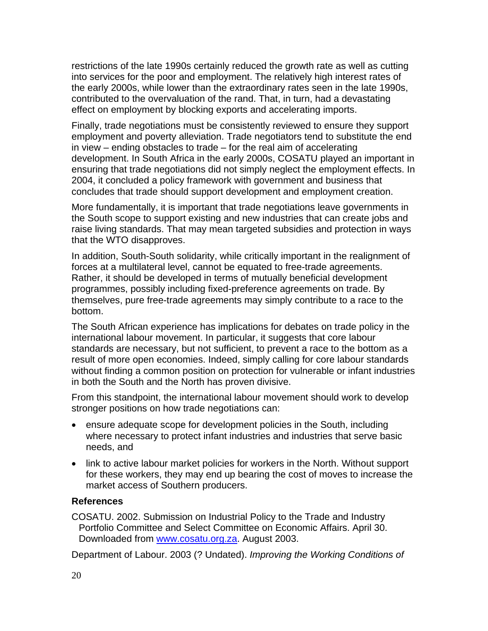restrictions of the late 1990s certainly reduced the growth rate as well as cutting into services for the poor and employment. The relatively high interest rates of the early 2000s, while lower than the extraordinary rates seen in the late 1990s, contributed to the overvaluation of the rand. That, in turn, had a devastating effect on employment by blocking exports and accelerating imports.

Finally, trade negotiations must be consistently reviewed to ensure they support employment and poverty alleviation. Trade negotiators tend to substitute the end in view – ending obstacles to trade – for the real aim of accelerating development. In South Africa in the early 2000s, COSATU played an important in ensuring that trade negotiations did not simply neglect the employment effects. In 2004, it concluded a policy framework with government and business that concludes that trade should support development and employment creation.

More fundamentally, it is important that trade negotiations leave governments in the South scope to support existing and new industries that can create jobs and raise living standards. That may mean targeted subsidies and protection in ways that the WTO disapproves.

In addition, South-South solidarity, while critically important in the realignment of forces at a multilateral level, cannot be equated to free-trade agreements. Rather, it should be developed in terms of mutually beneficial development programmes, possibly including fixed-preference agreements on trade. By themselves, pure free-trade agreements may simply contribute to a race to the bottom.

The South African experience has implications for debates on trade policy in the international labour movement. In particular, it suggests that core labour standards are necessary, but not sufficient, to prevent a race to the bottom as a result of more open economies. Indeed, simply calling for core labour standards without finding a common position on protection for vulnerable or infant industries in both the South and the North has proven divisive.

From this standpoint, the international labour movement should work to develop stronger positions on how trade negotiations can:

- ensure adequate scope for development policies in the South, including where necessary to protect infant industries and industries that serve basic needs, and
- link to active labour market policies for workers in the North. Without support for these workers, they may end up bearing the cost of moves to increase the market access of Southern producers.

### **References**

COSATU. 2002. Submission on Industrial Policy to the Trade and Industry Portfolio Committee and Select Committee on Economic Affairs. April 30. Downloaded from www.cosatu.org.za. August 2003.

Department of Labour. 2003 (? Undated). *Improving the Working Conditions of*